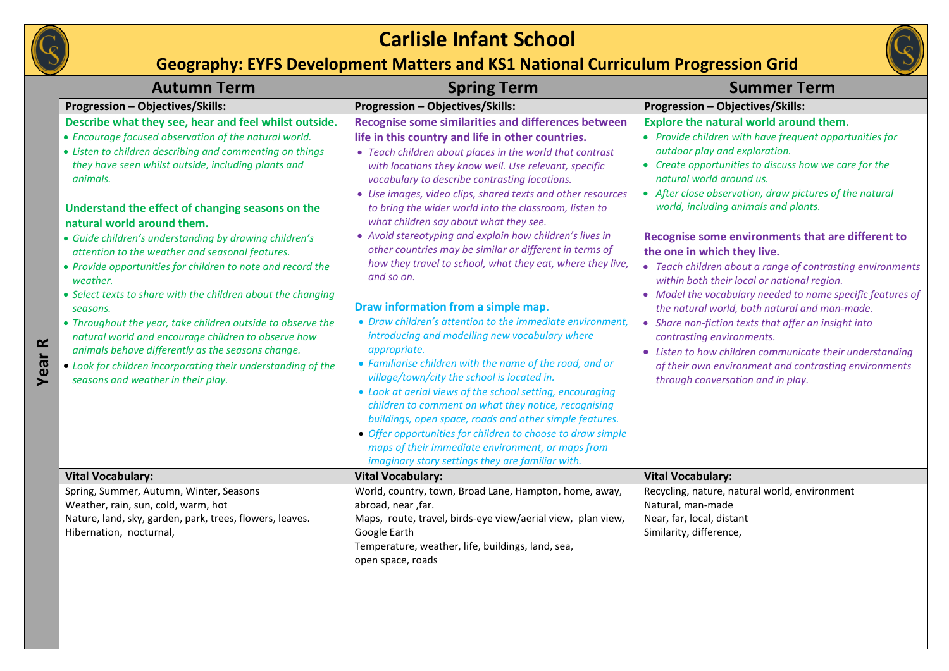



## **Geography: EYFS Development Matters and KS1 National Curriculum Progression Grid**

|                                       | <b>Autumn Term</b>                                                                                                                                                                                                                                                                                                                                                                                                                                                                                                                                                                                                                                                                                                                                                                                                                                                                   | <b>Spring Term</b>                                                                                                                                                                                                                                                                                                                                                                                                                                                                                                                                                                                                                                                                                                                                                                                                                                                                                                                                                                                                                                                                                                                                                                                                                                                                            | <b>Summer Term</b>                                                                                                                                                                                                                                                                                                                                                                                                                                                                                                                                                                                                                                                                                                                                                                                                                                                                        |
|---------------------------------------|--------------------------------------------------------------------------------------------------------------------------------------------------------------------------------------------------------------------------------------------------------------------------------------------------------------------------------------------------------------------------------------------------------------------------------------------------------------------------------------------------------------------------------------------------------------------------------------------------------------------------------------------------------------------------------------------------------------------------------------------------------------------------------------------------------------------------------------------------------------------------------------|-----------------------------------------------------------------------------------------------------------------------------------------------------------------------------------------------------------------------------------------------------------------------------------------------------------------------------------------------------------------------------------------------------------------------------------------------------------------------------------------------------------------------------------------------------------------------------------------------------------------------------------------------------------------------------------------------------------------------------------------------------------------------------------------------------------------------------------------------------------------------------------------------------------------------------------------------------------------------------------------------------------------------------------------------------------------------------------------------------------------------------------------------------------------------------------------------------------------------------------------------------------------------------------------------|-------------------------------------------------------------------------------------------------------------------------------------------------------------------------------------------------------------------------------------------------------------------------------------------------------------------------------------------------------------------------------------------------------------------------------------------------------------------------------------------------------------------------------------------------------------------------------------------------------------------------------------------------------------------------------------------------------------------------------------------------------------------------------------------------------------------------------------------------------------------------------------------|
|                                       | <b>Progression - Objectives/Skills:</b>                                                                                                                                                                                                                                                                                                                                                                                                                                                                                                                                                                                                                                                                                                                                                                                                                                              | <b>Progression - Objectives/Skills:</b>                                                                                                                                                                                                                                                                                                                                                                                                                                                                                                                                                                                                                                                                                                                                                                                                                                                                                                                                                                                                                                                                                                                                                                                                                                                       | <b>Progression - Objectives/Skills:</b>                                                                                                                                                                                                                                                                                                                                                                                                                                                                                                                                                                                                                                                                                                                                                                                                                                                   |
| $\mathbf{\underline{\alpha}}$<br>Year | Describe what they see, hear and feel whilst outside.<br>• Encourage focused observation of the natural world.<br>• Listen to children describing and commenting on things<br>they have seen whilst outside, including plants and<br>animals.<br>Understand the effect of changing seasons on the<br>natural world around them.<br>· Guide children's understanding by drawing children's<br>attention to the weather and seasonal features.<br>• Provide opportunities for children to note and record the<br>weather.<br>• Select texts to share with the children about the changing<br>seasons.<br>• Throughout the year, take children outside to observe the<br>natural world and encourage children to observe how<br>animals behave differently as the seasons change.<br>• Look for children incorporating their understanding of the<br>seasons and weather in their play. | Recognise some similarities and differences between<br>life in this country and life in other countries.<br>• Teach children about places in the world that contrast<br>with locations they know well. Use relevant, specific<br>vocabulary to describe contrasting locations.<br>• Use images, video clips, shared texts and other resources<br>to bring the wider world into the classroom, listen to<br>what children say about what they see.<br>• Avoid stereotyping and explain how children's lives in<br>other countries may be similar or different in terms of<br>how they travel to school, what they eat, where they live,<br>and so on.<br>Draw information from a simple map.<br>• Draw children's attention to the immediate environment,<br>introducing and modelling new vocabulary where<br>appropriate.<br>• Familiarise children with the name of the road, and or<br>village/town/city the school is located in.<br>• Look at aerial views of the school setting, encouraging<br>children to comment on what they notice, recognising<br>buildings, open space, roads and other simple features.<br>• Offer opportunities for children to choose to draw simple<br>maps of their immediate environment, or maps from<br>imaginary story settings they are familiar with. | Explore the natural world around them.<br>• Provide children with have frequent opportunities for<br>outdoor play and exploration.<br>• Create opportunities to discuss how we care for the<br>natural world around us.<br>• After close observation, draw pictures of the natural<br>world, including animals and plants.<br>Recognise some environments that are different to<br>the one in which they live.<br>• Teach children about a range of contrasting environments<br>within both their local or national region.<br>• Model the vocabulary needed to name specific features of<br>the natural world, both natural and man-made.<br>• Share non-fiction texts that offer an insight into<br>contrasting environments.<br>• Listen to how children communicate their understanding<br>of their own environment and contrasting environments<br>through conversation and in play. |
|                                       | <b>Vital Vocabulary:</b>                                                                                                                                                                                                                                                                                                                                                                                                                                                                                                                                                                                                                                                                                                                                                                                                                                                             | <b>Vital Vocabulary:</b>                                                                                                                                                                                                                                                                                                                                                                                                                                                                                                                                                                                                                                                                                                                                                                                                                                                                                                                                                                                                                                                                                                                                                                                                                                                                      | <b>Vital Vocabulary:</b>                                                                                                                                                                                                                                                                                                                                                                                                                                                                                                                                                                                                                                                                                                                                                                                                                                                                  |
|                                       | Spring, Summer, Autumn, Winter, Seasons<br>Weather, rain, sun, cold, warm, hot<br>Nature, land, sky, garden, park, trees, flowers, leaves.<br>Hibernation, nocturnal,                                                                                                                                                                                                                                                                                                                                                                                                                                                                                                                                                                                                                                                                                                                | World, country, town, Broad Lane, Hampton, home, away,<br>abroad, near, far.<br>Maps, route, travel, birds-eye view/aerial view, plan view,<br>Google Earth<br>Temperature, weather, life, buildings, land, sea,<br>open space, roads                                                                                                                                                                                                                                                                                                                                                                                                                                                                                                                                                                                                                                                                                                                                                                                                                                                                                                                                                                                                                                                         | Recycling, nature, natural world, environment<br>Natural, man-made<br>Near, far, local, distant<br>Similarity, difference,                                                                                                                                                                                                                                                                                                                                                                                                                                                                                                                                                                                                                                                                                                                                                                |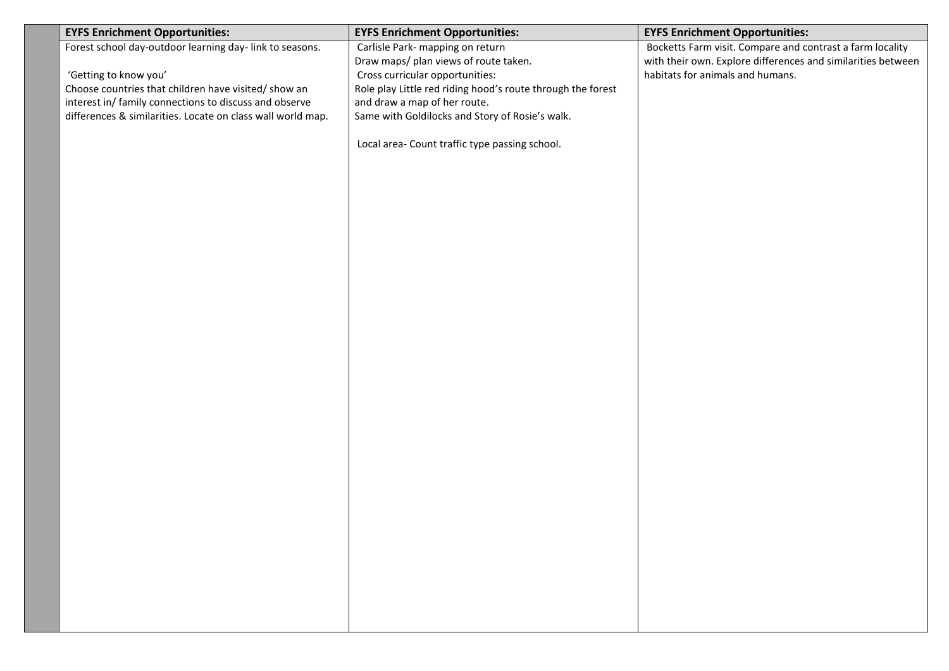| <b>EYFS Enrichment Opportunities:</b>                       | <b>EYFS Enrichment Opportunities:</b>                       | <b>EYFS Enrichment Opportunities:</b>                        |
|-------------------------------------------------------------|-------------------------------------------------------------|--------------------------------------------------------------|
| Forest school day-outdoor learning day-link to seasons.     | Carlisle Park- mapping on return                            | Bocketts Farm visit. Compare and contrast a farm locality    |
|                                                             | Draw maps/ plan views of route taken.                       | with their own. Explore differences and similarities between |
| 'Getting to know you'                                       | Cross curricular opportunities:                             | habitats for animals and humans.                             |
| Choose countries that children have visited/ show an        | Role play Little red riding hood's route through the forest |                                                              |
| interest in/ family connections to discuss and observe      | and draw a map of her route.                                |                                                              |
| differences & similarities. Locate on class wall world map. | Same with Goldilocks and Story of Rosie's walk.             |                                                              |
|                                                             |                                                             |                                                              |
|                                                             | Local area- Count traffic type passing school.              |                                                              |
|                                                             |                                                             |                                                              |
|                                                             |                                                             |                                                              |
|                                                             |                                                             |                                                              |
|                                                             |                                                             |                                                              |
|                                                             |                                                             |                                                              |
|                                                             |                                                             |                                                              |
|                                                             |                                                             |                                                              |
|                                                             |                                                             |                                                              |
|                                                             |                                                             |                                                              |
|                                                             |                                                             |                                                              |
|                                                             |                                                             |                                                              |
|                                                             |                                                             |                                                              |
|                                                             |                                                             |                                                              |
|                                                             |                                                             |                                                              |
|                                                             |                                                             |                                                              |
|                                                             |                                                             |                                                              |
|                                                             |                                                             |                                                              |
|                                                             |                                                             |                                                              |
|                                                             |                                                             |                                                              |
|                                                             |                                                             |                                                              |
|                                                             |                                                             |                                                              |
|                                                             |                                                             |                                                              |
|                                                             |                                                             |                                                              |
|                                                             |                                                             |                                                              |
|                                                             |                                                             |                                                              |
|                                                             |                                                             |                                                              |
|                                                             |                                                             |                                                              |
|                                                             |                                                             |                                                              |
|                                                             |                                                             |                                                              |
|                                                             |                                                             |                                                              |
|                                                             |                                                             |                                                              |
|                                                             |                                                             |                                                              |
|                                                             |                                                             |                                                              |
|                                                             |                                                             |                                                              |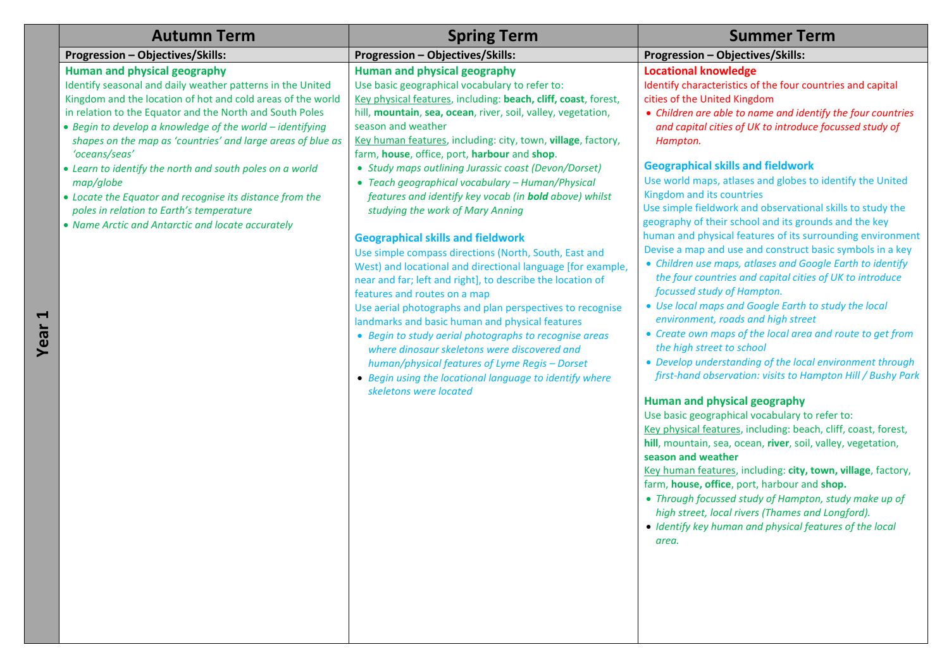| <b>Autumn Term</b>                                                                                                                                                                                                                                                                                                                                                                                                                                                                                                                                                                                                           | <b>Spring Term</b>                                                                                                                                                                                                                                                                                                                                                                                                                                                                                                                                                                                                                                                                                                                                                                                                                                                                                                                                                                                                                                                                                                                                                                                         | <b>Summer Term</b>                                                                                                                                                                                                                                                                                                                                                                                                                                                                                                                                                                                                                                                                                                                                                                                                                                                                                                                                                                                                                                                                                                                                                                                                                                                                                                                                                                                                                                                                                                                                                                                                                                                           |
|------------------------------------------------------------------------------------------------------------------------------------------------------------------------------------------------------------------------------------------------------------------------------------------------------------------------------------------------------------------------------------------------------------------------------------------------------------------------------------------------------------------------------------------------------------------------------------------------------------------------------|------------------------------------------------------------------------------------------------------------------------------------------------------------------------------------------------------------------------------------------------------------------------------------------------------------------------------------------------------------------------------------------------------------------------------------------------------------------------------------------------------------------------------------------------------------------------------------------------------------------------------------------------------------------------------------------------------------------------------------------------------------------------------------------------------------------------------------------------------------------------------------------------------------------------------------------------------------------------------------------------------------------------------------------------------------------------------------------------------------------------------------------------------------------------------------------------------------|------------------------------------------------------------------------------------------------------------------------------------------------------------------------------------------------------------------------------------------------------------------------------------------------------------------------------------------------------------------------------------------------------------------------------------------------------------------------------------------------------------------------------------------------------------------------------------------------------------------------------------------------------------------------------------------------------------------------------------------------------------------------------------------------------------------------------------------------------------------------------------------------------------------------------------------------------------------------------------------------------------------------------------------------------------------------------------------------------------------------------------------------------------------------------------------------------------------------------------------------------------------------------------------------------------------------------------------------------------------------------------------------------------------------------------------------------------------------------------------------------------------------------------------------------------------------------------------------------------------------------------------------------------------------------|
| Progression - Objectives/Skills:                                                                                                                                                                                                                                                                                                                                                                                                                                                                                                                                                                                             | <b>Progression - Objectives/Skills:</b>                                                                                                                                                                                                                                                                                                                                                                                                                                                                                                                                                                                                                                                                                                                                                                                                                                                                                                                                                                                                                                                                                                                                                                    | Progression - Objectives/Skills:                                                                                                                                                                                                                                                                                                                                                                                                                                                                                                                                                                                                                                                                                                                                                                                                                                                                                                                                                                                                                                                                                                                                                                                                                                                                                                                                                                                                                                                                                                                                                                                                                                             |
| <b>Human and physical geography</b><br>Identify seasonal and daily weather patterns in the United<br>Kingdom and the location of hot and cold areas of the world<br>in relation to the Equator and the North and South Poles<br>• Begin to develop a knowledge of the world - identifying<br>shapes on the map as 'countries' and large areas of blue as<br>'oceans/seas'<br>• Learn to identify the north and south poles on a world<br>map/globe<br>• Locate the Equator and recognise its distance from the<br>poles in relation to Earth's temperature<br>• Name Arctic and Antarctic and locate accurately<br>Ĺ<br>Year | Human and physical geography<br>Use basic geographical vocabulary to refer to:<br>Key physical features, including: beach, cliff, coast, forest,<br>hill, mountain, sea, ocean, river, soil, valley, vegetation,<br>season and weather<br>Key human features, including: city, town, village, factory,<br>farm, house, office, port, harbour and shop.<br>• Study maps outlining Jurassic coast (Devon/Dorset)<br>• Teach geographical vocabulary - Human/Physical<br>features and identify key vocab (in <b>bold</b> above) whilst<br>studying the work of Mary Anning<br><b>Geographical skills and fieldwork</b><br>Use simple compass directions (North, South, East and<br>West) and locational and directional language [for example,<br>near and far; left and right], to describe the location of<br>features and routes on a map<br>Use aerial photographs and plan perspectives to recognise<br>landmarks and basic human and physical features<br>• Begin to study aerial photographs to recognise areas<br>where dinosaur skeletons were discovered and<br>human/physical features of Lyme Regis - Dorset<br>• Begin using the locational language to identify where<br>skeletons were located | <b>Locational knowledge</b><br>Identify characteristics of the four countries and capital<br>cities of the United Kingdom<br>• Children are able to name and identify the four countries<br>and capital cities of UK to introduce focussed study of<br>Hampton.<br><b>Geographical skills and fieldwork</b><br>Use world maps, atlases and globes to identify the United<br>Kingdom and its countries<br>Use simple fieldwork and observational skills to study the<br>geography of their school and its grounds and the key<br>human and physical features of its surrounding environment<br>Devise a map and use and construct basic symbols in a key<br>• Children use maps, atlases and Google Earth to identify<br>the four countries and capital cities of UK to introduce<br>focussed study of Hampton.<br>• Use local maps and Google Earth to study the local<br>environment, roads and high street<br>• Create own maps of the local area and route to get from<br>the high street to school<br>• Develop understanding of the local environment through<br>first-hand observation: visits to Hampton Hill / Bushy Park<br>Human and physical geography<br>Use basic geographical vocabulary to refer to:<br>Key physical features, including: beach, cliff, coast, forest,<br>hill, mountain, sea, ocean, river, soil, valley, vegetation,<br>season and weather<br>Key human features, including: city, town, village, factory,<br>farm, house, office, port, harbour and shop.<br>• Through focussed study of Hampton, study make up of<br>high street, local rivers (Thames and Longford).<br>• Identify key human and physical features of the local<br>area. |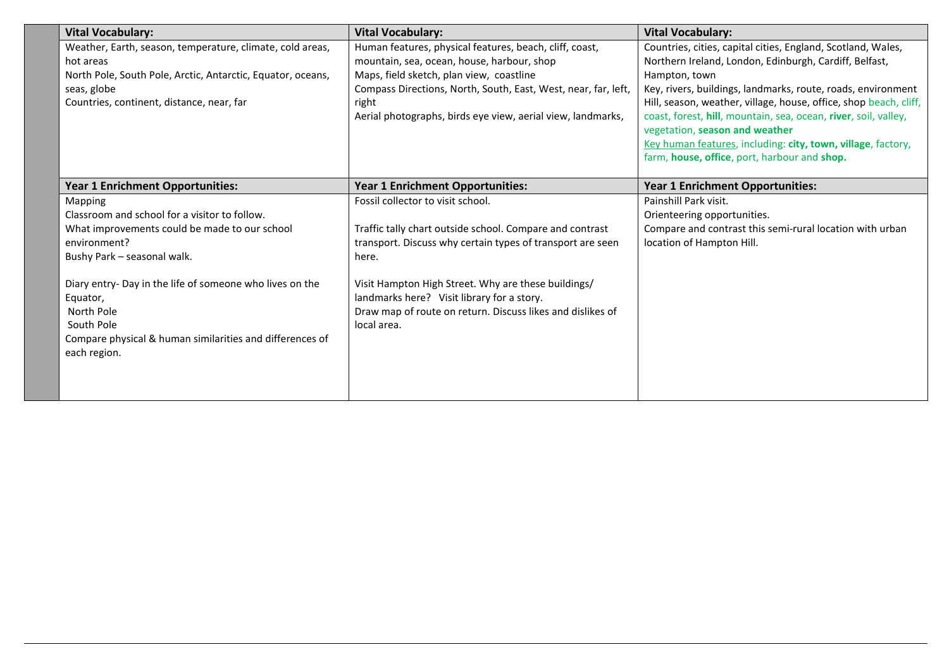| <b>Vital Vocabulary:</b>                                    | <b>Vital Vocabulary:</b>                                       | <b>Vital Vocabulary:</b>                                                                          |
|-------------------------------------------------------------|----------------------------------------------------------------|---------------------------------------------------------------------------------------------------|
| Weather, Earth, season, temperature, climate, cold areas,   | Human features, physical features, beach, cliff, coast,        | Countries, cities, capital cities, England, Scotland, Wales,                                      |
| hot areas                                                   | mountain, sea, ocean, house, harbour, shop                     | Northern Ireland, London, Edinburgh, Cardiff, Belfast,                                            |
| North Pole, South Pole, Arctic, Antarctic, Equator, oceans, | Maps, field sketch, plan view, coastline                       | Hampton, town                                                                                     |
| seas, globe                                                 | Compass Directions, North, South, East, West, near, far, left, | Key, rivers, buildings, landmarks, route, roads, environment                                      |
| Countries, continent, distance, near, far                   | right                                                          | Hill, season, weather, village, house, office, shop beach, cliff,                                 |
|                                                             | Aerial photographs, birds eye view, aerial view, landmarks,    | coast, forest, hill, mountain, sea, ocean, river, soil, valley,<br>vegetation, season and weather |
|                                                             |                                                                | Key human features, including: city, town, village, factory,                                      |
|                                                             |                                                                | farm, house, office, port, harbour and shop.                                                      |
|                                                             |                                                                |                                                                                                   |
| <b>Year 1 Enrichment Opportunities:</b>                     | Year 1 Enrichment Opportunities:                               | <b>Year 1 Enrichment Opportunities:</b>                                                           |
| Mapping                                                     | Fossil collector to visit school.                              | Painshill Park visit.                                                                             |
| Classroom and school for a visitor to follow.               |                                                                | Orienteering opportunities.                                                                       |
| What improvements could be made to our school               | Traffic tally chart outside school. Compare and contrast       | Compare and contrast this semi-rural location with urban                                          |
| environment?                                                | transport. Discuss why certain types of transport are seen     | location of Hampton Hill.                                                                         |
| Bushy Park - seasonal walk.                                 | here.                                                          |                                                                                                   |
|                                                             |                                                                |                                                                                                   |
| Diary entry- Day in the life of someone who lives on the    | Visit Hampton High Street. Why are these buildings/            |                                                                                                   |
| Equator,                                                    | landmarks here? Visit library for a story.                     |                                                                                                   |
| North Pole                                                  | Draw map of route on return. Discuss likes and dislikes of     |                                                                                                   |
| South Pole                                                  | local area.                                                    |                                                                                                   |
| Compare physical & human similarities and differences of    |                                                                |                                                                                                   |
| each region.                                                |                                                                |                                                                                                   |
|                                                             |                                                                |                                                                                                   |
|                                                             |                                                                |                                                                                                   |
|                                                             |                                                                |                                                                                                   |